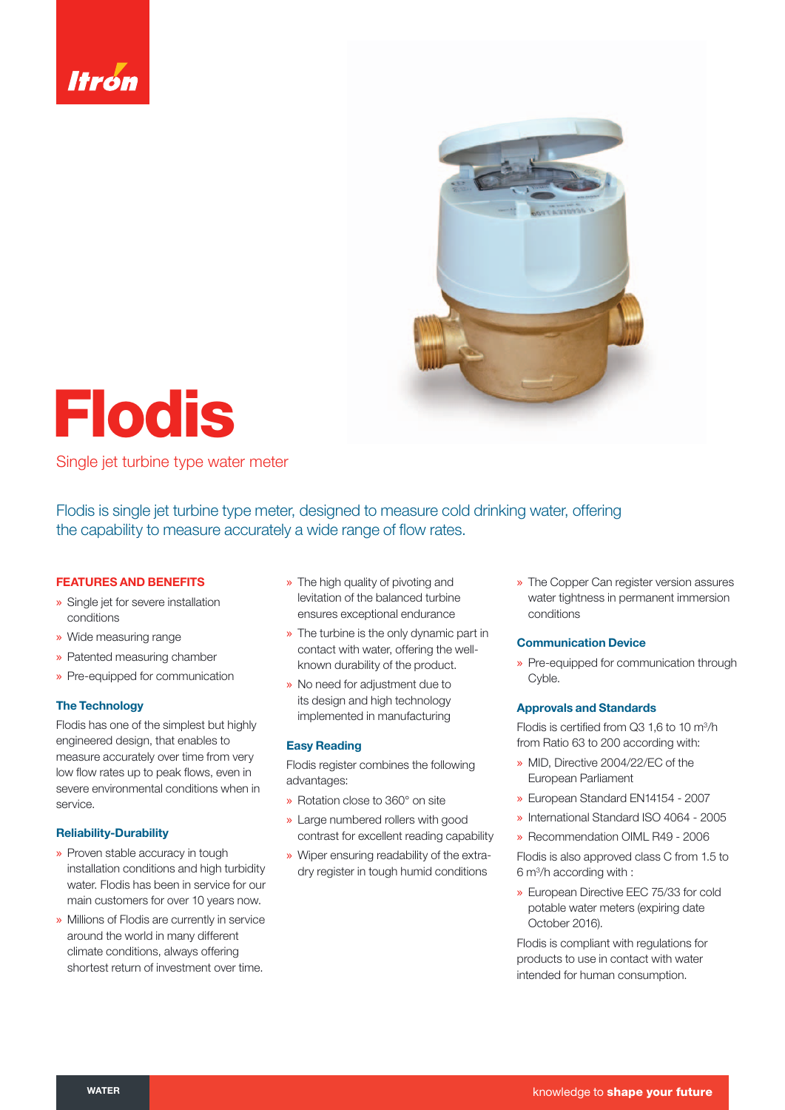



# **Flodis**

Single jet turbine type water meter

Flodis is single jet turbine type meter, designed to measure cold drinking water, offering the capability to measure accurately a wide range of flow rates.

# **FEATURES AND BENEFITS**

- » Single jet for severe installation conditions
- » Wide measuring range
- » Patented measuring chamber
- » Pre-equipped for communication

# **The Technology**

Flodis has one of the simplest but highly engineered design, that enables to measure accurately over time from very low flow rates up to peak flows, even in severe environmental conditions when in service.

### **Reliability-Durability**

- » Proven stable accuracy in tough installation conditions and high turbidity water. Flodis has been in service for our main customers for over 10 years now.
- » Millions of Flodis are currently in service around the world in many different climate conditions, always offering shortest return of investment over time.
- » The high quality of pivoting and levitation of the balanced turbine ensures exceptional endurance
- » The turbine is the only dynamic part in contact with water, offering the wellknown durability of the product.
- » No need for adjustment due to its design and high technology implemented in manufacturing

#### **Easy Reading**

Flodis register combines the following advantages:

- » Rotation close to 360° on site
- » Large numbered rollers with good contrast for excellent reading capability
- » Wiper ensuring readability of the extradry register in tough humid conditions

» The Copper Can register version assures water tightness in permanent immersion conditions

#### **Communication Device**

» Pre-equipped for communication through Cyble.

#### **Approvals and Standards**

Flodis is certified from Q3 1,6 to 10  $\mathrm{m}^3/\mathrm{h}$ from Ratio 63 to 200 according with:

- » MID, Directive 2004/22/EC of the European Parliament
- » European Standard EN14154 2007
- » International Standard ISO 4064 2005
- » Recommendation OIML R49 2006

Flodis is also approved class C from 1.5 to 6 m3 /h according with :

» European Directive EEC 75/33 for cold potable water meters (expiring date October 2016).

Flodis is compliant with regulations for products to use in contact with water intended for human consumption.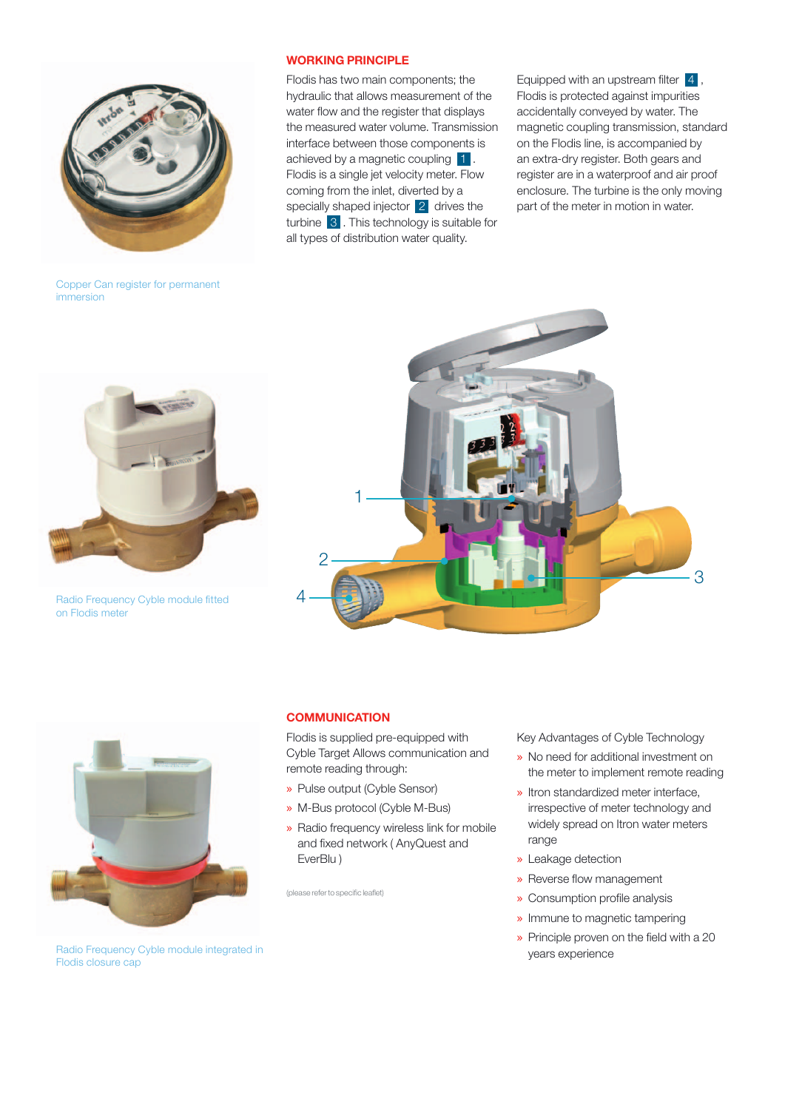

Copper Can register for permanent immersion

#### **WORKING PRINCIPLE**

Flodis has two main components; the hydraulic that allows measurement of the water flow and the register that displays the measured water volume. Transmission interface between those components is achieved by a magnetic coupling 1. Flodis is a single jet velocity meter. Flow coming from the inlet, diverted by a specially shaped injector 2 drives the turbine 3. This technology is suitable for all types of distribution water quality.

Equipped with an upstream filter  $\begin{bmatrix} 4 \end{bmatrix}$ , Flodis is protected against impurities accidentally conveyed by water. The magnetic coupling transmission, standard on the Flodis line, is accompanied by an extra-dry register. Both gears and register are in a waterproof and air proof enclosure. The turbine is the only moving part of the meter in motion in water.



Radio Frequency Cyble module fitted on Flodis meter





# **COMMUNICATION**

Flodis is supplied pre-equipped with Cyble Target Allows communication and remote reading through:

- » Pulse output (Cyble Sensor)
- » M-Bus protocol (Cyble M-Bus)
- » Radio frequency wireless link for mobile and fixed network (AnyQuest and EverBlu )

(please refer to specific leaflet)

Key Advantages of Cyble Technology

- » No need for additional investment on the meter to implement remote reading
- » Itron standardized meter interface, irrespective of meter technology and widely spread on Itron water meters range
- » Leakage detection
- » Reverse flow management
- » Consumption profile analysis
- » Immune to magnetic tampering
- $\rightarrow$  Principle proven on the field with a 20 years experience

Radio Frequency Cyble module integrated in Flodis closure cap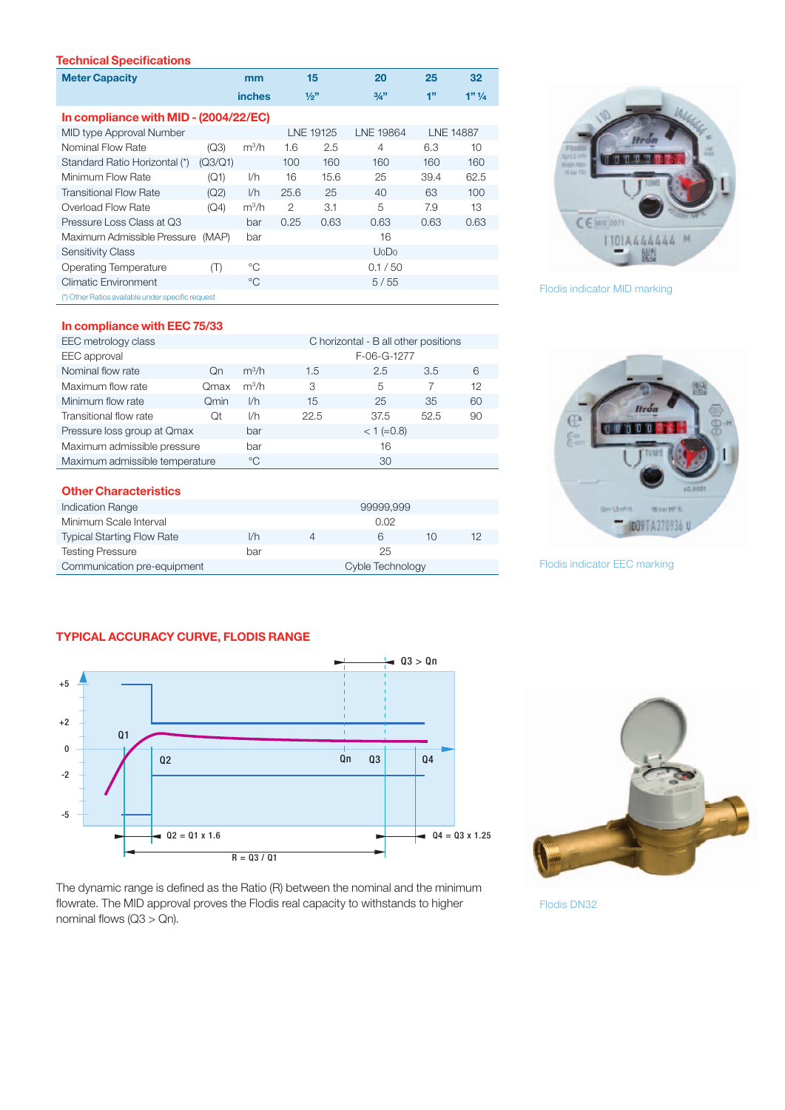# **Technical Specifications**

| <b>Meter Capacity</b>                             |         | mm            | 15        |      | 20               | 25               | 32                 |  |  |
|---------------------------------------------------|---------|---------------|-----------|------|------------------|------------------|--------------------|--|--|
|                                                   |         | <b>inches</b> |           | 1/2" | 3/4"             | 1"               | $1"$ $\frac{1}{4}$ |  |  |
| In compliance with MID - (2004/22/EC)             |         |               |           |      |                  |                  |                    |  |  |
| MID type Approval Number                          |         |               | LNE 19125 |      | <b>LNE 19864</b> | <b>LNE 14887</b> |                    |  |  |
| Nominal Flow Rate                                 | (Q3)    | $m^3/h$       | 1.6       | 2.5  | 4                | 6.3              | 10                 |  |  |
| Standard Ratio Horizontal (*)                     | (Q3/Q1) |               | 100       | 160  | 160              | 160              | 160                |  |  |
| Minimum Flow Rate                                 | (Q1)    | I/h           | 16        | 15.6 | 25               | 39.4             | 62.5               |  |  |
| <b>Transitional Flow Rate</b>                     | (Q2)    | 1/h           | 25.6      | 25   | 40               | 63               | 100                |  |  |
| Overload Flow Rate                                | (Q4)    | $m^3/h$       | 2         | 3.1  | 5                | 7.9              | 13                 |  |  |
| Pressure Loss Class at Q3                         |         | bar           | 0.25      | 0.63 | 0.63             | 0.63             | 0.63               |  |  |
| Maximum Admissible Pressure                       | (MAP)   | bar           |           |      | 16               |                  |                    |  |  |
| <b>Sensitivity Class</b>                          |         |               |           |      | UoDo             |                  |                    |  |  |
| <b>Operating Temperature</b>                      | (T)     | $^{\circ}C$   |           |      | 0.1 / 50         |                  |                    |  |  |
| <b>Climatic Environment</b>                       |         | °C            |           |      | 5/55             |                  |                    |  |  |
| (*) Other Ratios available under specific request |         |               |           |      |                  |                  |                    |  |  |

# **In compliance with EEC 75/33**

| EEC metrology class            | C horizontal - B all other positions |              |              |      |      |    |  |  |
|--------------------------------|--------------------------------------|--------------|--------------|------|------|----|--|--|
| EEC approval                   |                                      |              | F-06-G-1277  |      |      |    |  |  |
| Nominal flow rate              | <b>On</b>                            | $m^3/h$      | 1.5          | 2.5  | 3.5  | 6  |  |  |
| Maximum flow rate              | Qmax                                 | $m^3/h$      | 3            | 5    |      | 12 |  |  |
| Minimum flow rate              | Omin                                 | I/h          | 15           | 25   | 35   | 60 |  |  |
| Transitional flow rate         | Оt                                   | I/h          | 22.5         | 37.5 | 52.5 | 90 |  |  |
| Pressure loss group at Qmax    |                                      | bar          | $<$ 1 (=0.8) |      |      |    |  |  |
| Maximum admissible pressure    |                                      | bar          | 16           |      |      |    |  |  |
| Maximum admissible temperature |                                      | $^{\circ}$ C | 30           |      |      |    |  |  |

#### **Other Characteristics**

| Indication Range                  |     |                  | 99999.999 |    |    |
|-----------------------------------|-----|------------------|-----------|----|----|
| Minimum Scale Interval            |     |                  | 0.02      |    |    |
| <b>Typical Starting Flow Rate</b> | I/h |                  | ĥ         | 10 | 12 |
| <b>Testing Pressure</b>           | bar |                  | 25        |    |    |
| Communication pre-equipment       |     | Cyble Technology |           |    |    |



Flodis indicator MID marking



Flodis indicator EEC marking

# **TYPICAL ACCURACY CURVE, FLODIS RANGE**





The dynamic range is defined as the Ratio (R) between the nominal and the minimum flowrate. The MID approval proves the Flodis real capacity to withstands to higher nominal flows  $(Q3 > Qn)$ .

Flodis DN32